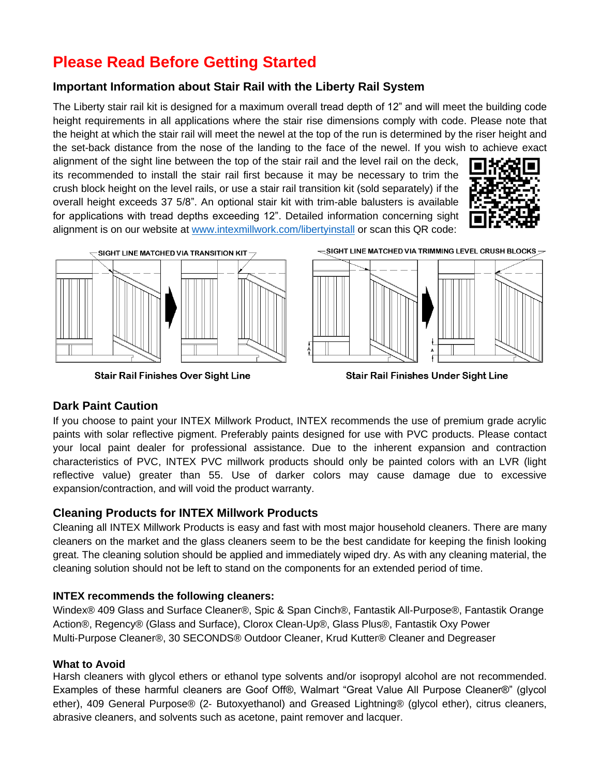# **Please Read Before Getting Started**

### **Important Information about Stair Rail with the Liberty Rail System**

The Liberty stair rail kit is designed for a maximum overall tread depth of 12" and will meet the building code height requirements in all applications where the stair rise dimensions comply with code. Please note that the height at which the stair rail will meet the newel at the top of the run is determined by the riser height and the set-back distance from the nose of the landing to the face of the newel. If you wish to achieve exact

alignment of the sight line between the top of the stair rail and the level rail on the deck, its recommended to install the stair rail first because it may be necessary to trim the crush block height on the level rails, or use a stair rail transition kit (sold separately) if the overall height exceeds 37 5/8". An optional stair kit with trim-able balusters is available for applications with tread depths exceeding 12". Detailed information concerning sight alignment is on our website at [www.intexmillwork.com/libertyinstall](http://www.intexmillwork.com/libertyinstall) or scan this QR code:





**Stair Rail Finishes Over Sight Line** 

 $\sim$  Sight line matched via trimming level crush blocks  $\geq$ 



**Stair Rail Finishes Under Sight Line** 

### **Dark Paint Caution**

If you choose to paint your INTEX Millwork Product, INTEX recommends the use of premium grade acrylic paints with solar reflective pigment. Preferably paints designed for use with PVC products. Please contact your local paint dealer for professional assistance. Due to the inherent expansion and contraction characteristics of PVC, INTEX PVC millwork products should only be painted colors with an LVR (light reflective value) greater than 55. Use of darker colors may cause damage due to excessive expansion/contraction, and will void the product warranty.

## **Cleaning Products for INTEX Millwork Products**

Cleaning all INTEX Millwork Products is easy and fast with most major household cleaners. There are many cleaners on the market and the glass cleaners seem to be the best candidate for keeping the finish looking great. The cleaning solution should be applied and immediately wiped dry. As with any cleaning material, the cleaning solution should not be left to stand on the components for an extended period of time.

### **INTEX recommends the following cleaners:**

Windex® 409 Glass and Surface Cleaner®, Spic & Span Cinch®, Fantastik All‐Purpose®, Fantastik Orange Action®, Regency® (Glass and Surface), Clorox Clean‐Up®, Glass Plus®, Fantastik Oxy Power Multi‐Purpose Cleaner®, 30 SECONDS® Outdoor Cleaner, Krud Kutter® Cleaner and Degreaser

### **What to Avoid**

Harsh cleaners with glycol ethers or ethanol type solvents and/or isopropyl alcohol are not recommended. Examples of these harmful cleaners are Goof Off®, Walmart "Great Value All Purpose Cleaner®" (glycol ether), 409 General Purpose® (2‐ Butoxyethanol) and Greased Lightning® (glycol ether), citrus cleaners, abrasive cleaners, and solvents such as acetone, paint remover and lacquer.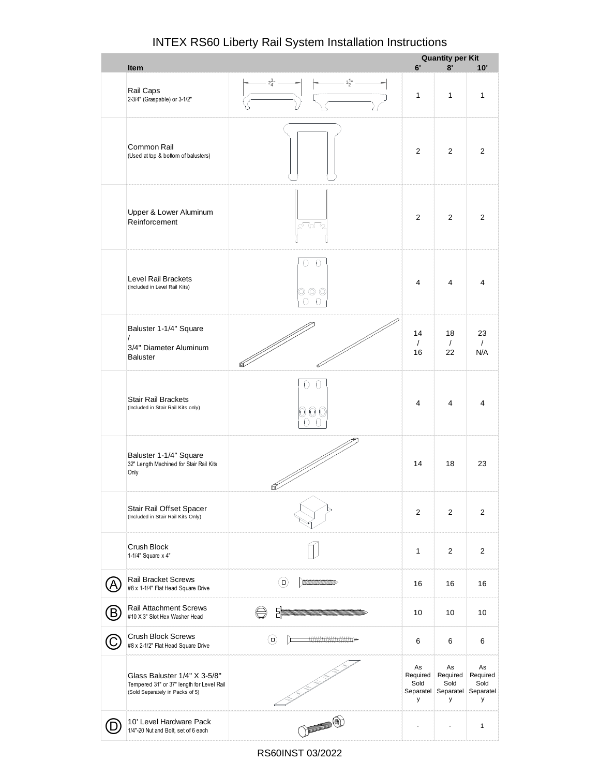|     |                                                                                                              |                                                          |                             | <b>Quantity per Kit</b>                                      |                             |  |
|-----|--------------------------------------------------------------------------------------------------------------|----------------------------------------------------------|-----------------------------|--------------------------------------------------------------|-----------------------------|--|
|     | Item                                                                                                         |                                                          | 6'                          | 8'                                                           | 10'                         |  |
|     | Rail Caps<br>2-3/4" (Graspable) or 3-1/2"                                                                    | $3\frac{1}{2}$ "<br>$2\frac{3}{4}$ "                     | $\mathbf{1}$                | $\mathbf{1}$                                                 | $\mathbf{1}$                |  |
|     | Common Rail<br>(Used at top & bottom of balusters)                                                           |                                                          | $\overline{2}$              | 2                                                            | 2                           |  |
|     | Upper & Lower Aluminum<br>Reinforcement                                                                      | <u>ಭ್ರಂ</u>                                              | $\overline{2}$              | 2                                                            | 2                           |  |
|     | <b>Level Rail Brackets</b><br>(Included in Level Rail Kits)                                                  | Ω<br>0<br>0 0 0<br>$\left( \right)$                      | $\overline{4}$              | $\overline{4}$                                               | 4                           |  |
|     | Baluster 1-1/4" Square<br>$\prime$<br>3/4" Diameter Aluminum<br><b>Baluster</b>                              |                                                          | 14<br>$\sqrt{2}$<br>16      | 18<br>$\sqrt{2}$<br>22                                       | 23<br>$\sqrt{ }$<br>N/A     |  |
|     | <b>Stair Rail Brackets</b><br>(Included in Stair Rail Kits only)                                             | 0                                                        | 4                           | 4                                                            | 4                           |  |
|     | Baluster 1-1/4" Square<br>32" Length Machined for Stair Rail Kits<br>Only                                    |                                                          | 14                          | 18                                                           | 23                          |  |
|     | Stair Rail Offset Spacer<br>(Included in Stair Rail Kits Only)                                               |                                                          | $\overline{2}$              | $\overline{2}$                                               | 2                           |  |
|     | Crush Block<br>1-1/4" Square x 4"                                                                            |                                                          | $\mathbf{1}$                | $\overline{2}$                                               | $\overline{2}$              |  |
| Ά   | <b>Rail Bracket Screws</b><br>#8 x 1-1/4" Flat Head Square Drive                                             | $\circ$<br><b>MANAGEMENT AND STATE OF STATE OF STATE</b> | 16                          | 16                                                           | 16                          |  |
| (B) | <b>Rail Attachment Screws</b><br>#10 X 3" Slot Hex Washer Head                                               | E                                                        | 10                          | 10                                                           | 10                          |  |
| (C  | <b>Crush Block Screws</b><br>#8 x 2-1/2" Flat Head Square Drive                                              | ⊙                                                        | 6                           | 6                                                            | 6                           |  |
|     | Glass Baluster 1/4" X 3-5/8"<br>Tempered 31" or 37" length for Level Rail<br>(Sold Separately in Packs of 5) |                                                          | As<br>Required<br>Sold<br>у | As<br>Required<br>Sold<br>Separatel Separatel Separatel<br>У | As<br>Required<br>Sold<br>у |  |
|     | 10' Level Hardware Pack<br>1/4"-20 Nut and Bolt, set of 6 each                                               | O ANDROID                                                |                             | -                                                            | $\mathbf{1}$                |  |

RS60INST 03/2022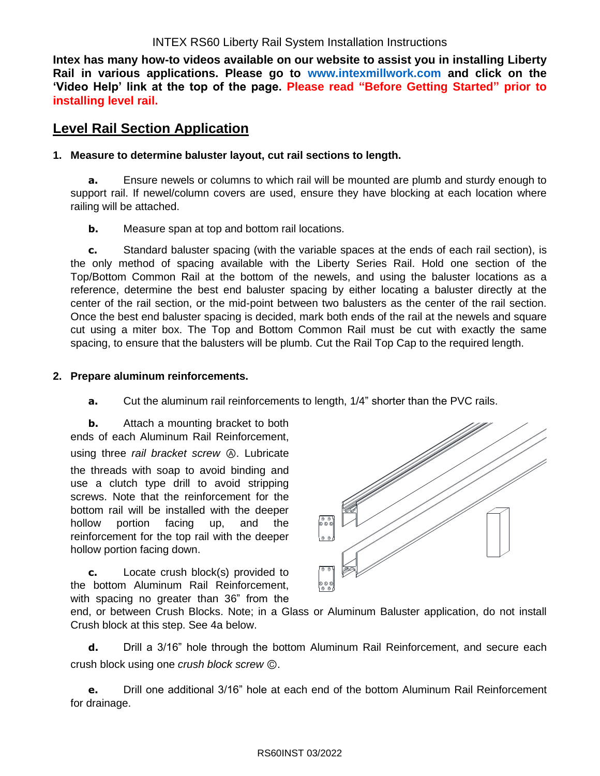**Intex has many how-to videos available on our website to assist you in installing Liberty Rail in various applications. Please go to [www.intexmillwork.com](http://www.intexmillwork.com/) and click on the 'Video Help' link at the top of the page. Please read "Before Getting Started" prior to installing level rail.**

## **Level Rail Section Application**

#### **1. Measure to determine baluster layout, cut rail sections to length.**

**a.** Ensure newels or columns to which rail will be mounted are plumb and sturdy enough to support rail. If newel/column covers are used, ensure they have blocking at each location where railing will be attached.

**b.** Measure span at top and bottom rail locations.

**c.** Standard baluster spacing (with the variable spaces at the ends of each rail section), is the only method of spacing available with the Liberty Series Rail. Hold one section of the Top/Bottom Common Rail at the bottom of the newels, and using the baluster locations as a reference, determine the best end baluster spacing by either locating a baluster directly at the center of the rail section, or the mid-point between two balusters as the center of the rail section. Once the best end baluster spacing is decided, mark both ends of the rail at the newels and square cut using a miter box. The Top and Bottom Common Rail must be cut with exactly the same spacing, to ensure that the balusters will be plumb. Cut the Rail Top Cap to the required length.

#### **2. Prepare aluminum reinforcements.**

**a.** Cut the aluminum rail reinforcements to length, 1/4" shorter than the PVC rails.

**b.** Attach a mounting bracket to both ends of each Aluminum Rail Reinforcement, using three *rail bracket screw* Ⓐ. Lubricate the threads with soap to avoid binding and use a clutch type drill to avoid stripping screws. Note that the reinforcement for the bottom rail will be installed with the deeper hollow portion facing up, and the reinforcement for the top rail with the deeper hollow portion facing down.

**c.** Locate crush block(s) provided to the bottom Aluminum Rail Reinforcement, with spacing no greater than 36" from the



end, or between Crush Blocks. Note; in a Glass or Aluminum Baluster application, do not install Crush block at this step. See 4a below.

**d.** Drill a 3/16" hole through the bottom Aluminum Rail Reinforcement, and secure each crush block using one *crush block screw* Ⓒ.

**e.** Drill one additional 3/16" hole at each end of the bottom Aluminum Rail Reinforcement for drainage.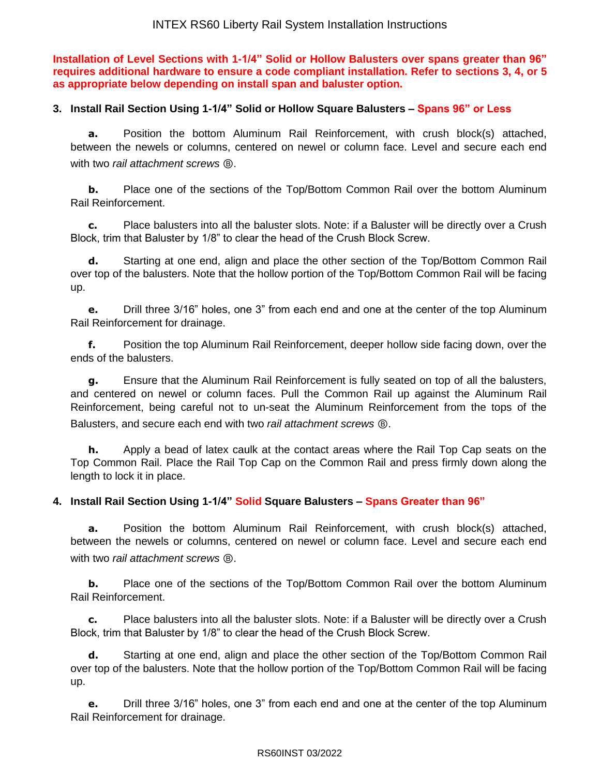**Installation of Level Sections with 1-1/4" Solid or Hollow Balusters over spans greater than 96" requires additional hardware to ensure a code compliant installation. Refer to sections 3, 4, or 5 as appropriate below depending on install span and baluster option.**

#### **3. Install Rail Section Using 1-1/4" Solid or Hollow Square Balusters – Spans 96" or Less**

**a.** Position the bottom Aluminum Rail Reinforcement, with crush block(s) attached, between the newels or columns, centered on newel or column face. Level and secure each end with two *rail attachment screws* Ⓑ.

**b.** Place one of the sections of the Top/Bottom Common Rail over the bottom Aluminum Rail Reinforcement.

**c.** Place balusters into all the baluster slots. Note: if a Baluster will be directly over a Crush Block, trim that Baluster by 1/8" to clear the head of the Crush Block Screw.

**d.** Starting at one end, align and place the other section of the Top/Bottom Common Rail over top of the balusters. Note that the hollow portion of the Top/Bottom Common Rail will be facing up.

**e.** Drill three 3/16" holes, one 3" from each end and one at the center of the top Aluminum Rail Reinforcement for drainage.

**f.** Position the top Aluminum Rail Reinforcement, deeper hollow side facing down, over the ends of the balusters.

**g.** Ensure that the Aluminum Rail Reinforcement is fully seated on top of all the balusters, and centered on newel or column faces. Pull the Common Rail up against the Aluminum Rail Reinforcement, being careful not to un-seat the Aluminum Reinforcement from the tops of the Balusters, and secure each end with two *rail attachment screws* Ⓑ.

**h.** Apply a bead of latex caulk at the contact areas where the Rail Top Cap seats on the Top Common Rail. Place the Rail Top Cap on the Common Rail and press firmly down along the length to lock it in place.

### **4. Install Rail Section Using 1-1/4" Solid Square Balusters – Spans Greater than 96"**

**a.** Position the bottom Aluminum Rail Reinforcement, with crush block(s) attached, between the newels or columns, centered on newel or column face. Level and secure each end with two *rail attachment screws* Ⓑ.

**b.** Place one of the sections of the Top/Bottom Common Rail over the bottom Aluminum Rail Reinforcement.

**c.** Place balusters into all the baluster slots. Note: if a Baluster will be directly over a Crush Block, trim that Baluster by 1/8" to clear the head of the Crush Block Screw.

**d.** Starting at one end, align and place the other section of the Top/Bottom Common Rail over top of the balusters. Note that the hollow portion of the Top/Bottom Common Rail will be facing up.

**e.** Drill three 3/16" holes, one 3" from each end and one at the center of the top Aluminum Rail Reinforcement for drainage.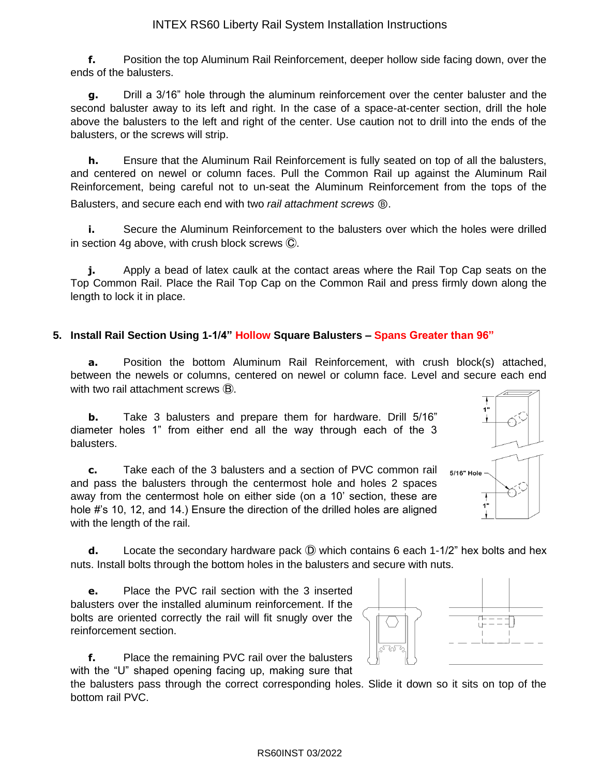**f.** Position the top Aluminum Rail Reinforcement, deeper hollow side facing down, over the ends of the balusters.

**g.** Drill a 3/16" hole through the aluminum reinforcement over the center baluster and the second baluster away to its left and right. In the case of a space-at-center section, drill the hole above the balusters to the left and right of the center. Use caution not to drill into the ends of the balusters, or the screws will strip.

**h.** Ensure that the Aluminum Rail Reinforcement is fully seated on top of all the balusters, and centered on newel or column faces. Pull the Common Rail up against the Aluminum Rail Reinforcement, being careful not to un-seat the Aluminum Reinforcement from the tops of the Balusters, and secure each end with two *rail attachment screws* Ⓑ.

**i.** Secure the Aluminum Reinforcement to the balusters over which the holes were drilled in section 4g above, with crush block screws Ⓒ.

**j.** Apply a bead of latex caulk at the contact areas where the Rail Top Cap seats on the Top Common Rail. Place the Rail Top Cap on the Common Rail and press firmly down along the length to lock it in place.

#### **5. Install Rail Section Using 1-1/4" Hollow Square Balusters – Spans Greater than 96"**

**a.** Position the bottom Aluminum Rail Reinforcement, with crush block(s) attached, between the newels or columns, centered on newel or column face. Level and secure each end with two rail attachment screws  $\mathbf{\mathbf{\mathsf{B}}}.$ 

**b.** Take 3 balusters and prepare them for hardware. Drill 5/16" diameter holes 1" from either end all the way through each of the 3 balusters.

**c.** Take each of the 3 balusters and a section of PVC common rail and pass the balusters through the centermost hole and holes 2 spaces away from the centermost hole on either side (on a 10' section, these are hole #'s 10, 12, and 14.) Ensure the direction of the drilled holes are aligned with the length of the rail.



**d.** Locate the secondary hardware pack  $\overline{D}$  which contains 6 each 1-1/2" hex bolts and hex nuts. Install bolts through the bottom holes in the balusters and secure with nuts.

**e.** Place the PVC rail section with the 3 inserted balusters over the installed aluminum reinforcement. If the bolts are oriented correctly the rail will fit snugly over the reinforcement section.



the balusters pass through the correct corresponding holes. Slide it down so it sits on top of the bottom rail PVC.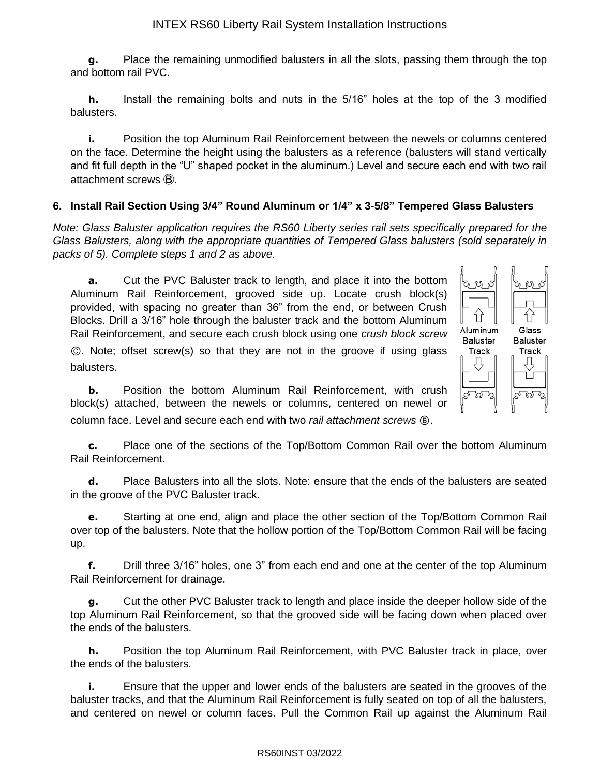**g.** Place the remaining unmodified balusters in all the slots, passing them through the top and bottom rail PVC.

**h.** Install the remaining bolts and nuts in the 5/16" holes at the top of the 3 modified balusters.

**i.** Position the top Aluminum Rail Reinforcement between the newels or columns centered on the face. Determine the height using the balusters as a reference (balusters will stand vertically and fit full depth in the "U" shaped pocket in the aluminum.) Level and secure each end with two rail attachment screws Ⓑ.

#### **6. Install Rail Section Using 3/4" Round Aluminum or 1/4" x 3-5/8" Tempered Glass Balusters**

*Note: Glass Baluster application requires the RS60 Liberty series rail sets specifically prepared for the Glass Balusters, along with the appropriate quantities of Tempered Glass balusters (sold separately in packs of 5). Complete steps 1 and 2 as above.*

**a.** Cut the PVC Baluster track to length, and place it into the bottom Aluminum Rail Reinforcement, grooved side up. Locate crush block(s) provided, with spacing no greater than 36" from the end, or between Crush Blocks. Drill a 3/16" hole through the baluster track and the bottom Aluminum Rail Reinforcement, and secure each crush block using one *crush block screw*

Ⓒ. Note; offset screw(s) so that they are not in the groove if using glass balusters.



**c.** Place one of the sections of the Top/Bottom Common Rail over the bottom Aluminum Rail Reinforcement.

Aluminum

**Baluster** 

Track

Glass

**Baluster** 

Track

ര്

**d.** Place Balusters into all the slots. Note: ensure that the ends of the balusters are seated in the groove of the PVC Baluster track.

**e.** Starting at one end, align and place the other section of the Top/Bottom Common Rail over top of the balusters. Note that the hollow portion of the Top/Bottom Common Rail will be facing up.

**f.** Drill three 3/16" holes, one 3" from each end and one at the center of the top Aluminum Rail Reinforcement for drainage.

**g.** Cut the other PVC Baluster track to length and place inside the deeper hollow side of the top Aluminum Rail Reinforcement, so that the grooved side will be facing down when placed over the ends of the balusters.

**h.** Position the top Aluminum Rail Reinforcement, with PVC Baluster track in place, over the ends of the balusters.

**i.** Ensure that the upper and lower ends of the balusters are seated in the grooves of the baluster tracks, and that the Aluminum Rail Reinforcement is fully seated on top of all the balusters, and centered on newel or column faces. Pull the Common Rail up against the Aluminum Rail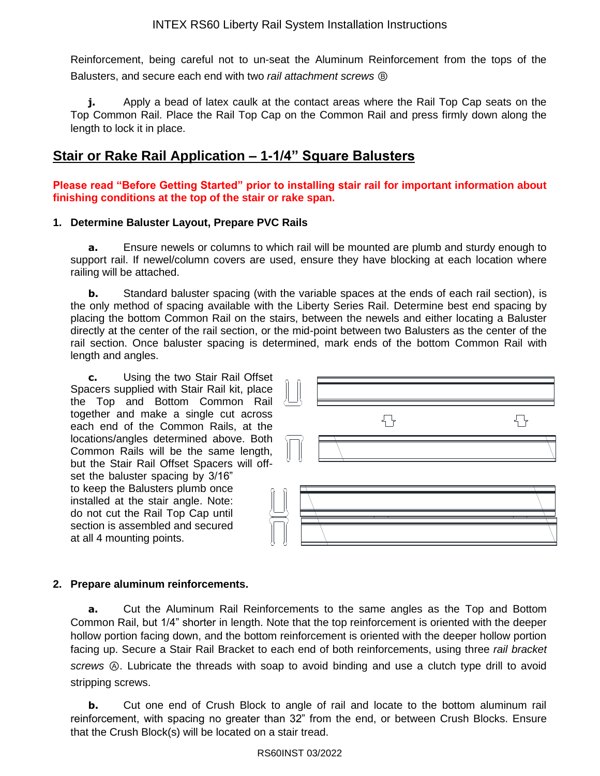Reinforcement, being careful not to un-seat the Aluminum Reinforcement from the tops of the Balusters, and secure each end with two *rail attachment screws* Ⓑ

**j.** Apply a bead of latex caulk at the contact areas where the Rail Top Cap seats on the Top Common Rail. Place the Rail Top Cap on the Common Rail and press firmly down along the length to lock it in place.

# **Stair or Rake Rail Application – 1-1/4" Square Balusters**

**Please read "Before Getting Started" prior to installing stair rail for important information about finishing conditions at the top of the stair or rake span.**

#### **1. Determine Baluster Layout, Prepare PVC Rails**

**a.** Ensure newels or columns to which rail will be mounted are plumb and sturdy enough to support rail. If newel/column covers are used, ensure they have blocking at each location where railing will be attached.

**b.** Standard baluster spacing (with the variable spaces at the ends of each rail section), is the only method of spacing available with the Liberty Series Rail. Determine best end spacing by placing the bottom Common Rail on the stairs, between the newels and either locating a Baluster directly at the center of the rail section, or the mid-point between two Balusters as the center of the rail section. Once baluster spacing is determined, mark ends of the bottom Common Rail with length and angles.

**c.** Using the two Stair Rail Offset Spacers supplied with Stair Rail kit, place the Top and Bottom Common Rail together and make a single cut across each end of the Common Rails, at the locations/angles determined above. Both Common Rails will be the same length, but the Stair Rail Offset Spacers will offset the baluster spacing by 3/16" to keep the Balusters plumb once installed at the stair angle. Note: do not cut the Rail Top Cap until section is assembled and secured at all 4 mounting points.



#### **2. Prepare aluminum reinforcements.**

**a.** Cut the Aluminum Rail Reinforcements to the same angles as the Top and Bottom Common Rail, but 1/4" shorter in length. Note that the top reinforcement is oriented with the deeper hollow portion facing down, and the bottom reinforcement is oriented with the deeper hollow portion facing up. Secure a Stair Rail Bracket to each end of both reinforcements, using three *rail bracket screws* Ⓐ. Lubricate the threads with soap to avoid binding and use a clutch type drill to avoid stripping screws.

**b.** Cut one end of Crush Block to angle of rail and locate to the bottom aluminum rail reinforcement, with spacing no greater than 32" from the end, or between Crush Blocks. Ensure that the Crush Block(s) will be located on a stair tread.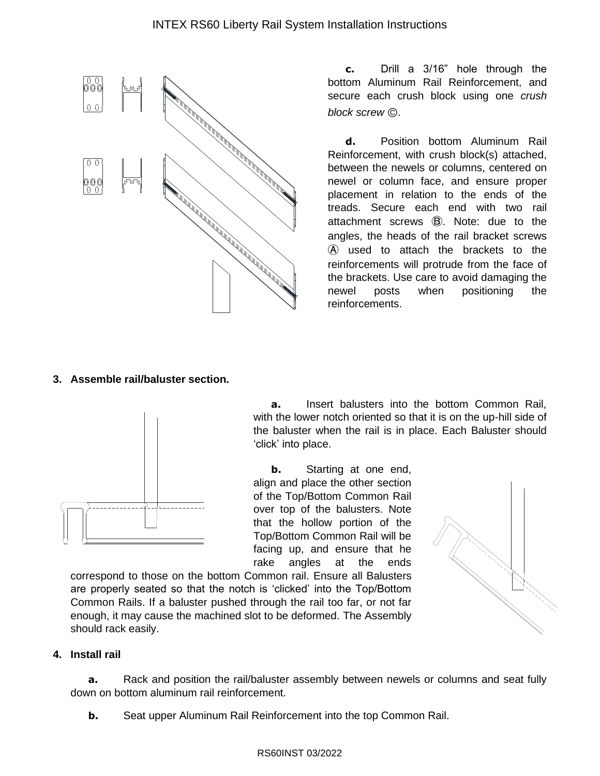

**c.** Drill a 3/16" hole through the bottom Aluminum Rail Reinforcement, and secure each crush block using one *crush block screw* Ⓒ.

**d.** Position bottom Aluminum Rail Reinforcement, with crush block(s) attached, between the newels or columns, centered on newel or column face, and ensure proper placement in relation to the ends of the treads. Secure each end with two rail attachment screws Ⓑ. Note: due to the angles, the heads of the rail bracket screws Ⓐ used to attach the brackets to the reinforcements will protrude from the face of the brackets. Use care to avoid damaging the newel posts when positioning the reinforcements.

#### **3. Assemble rail/baluster section.**



**a.** Insert balusters into the bottom Common Rail, with the lower notch oriented so that it is on the up-hill side of the baluster when the rail is in place. Each Baluster should 'click' into place.

**b.** Starting at one end, align and place the other section of the Top/Bottom Common Rail over top of the balusters. Note that the hollow portion of the Top/Bottom Common Rail will be facing up, and ensure that he rake angles at the ends

correspond to those on the bottom Common rail. Ensure all Balusters are properly seated so that the notch is 'clicked' into the Top/Bottom Common Rails. If a baluster pushed through the rail too far, or not far enough, it may cause the machined slot to be deformed. The Assembly should rack easily.



#### **4. Install rail**

**a.** Rack and position the rail/baluster assembly between newels or columns and seat fully down on bottom aluminum rail reinforcement.

**b.** Seat upper Aluminum Rail Reinforcement into the top Common Rail.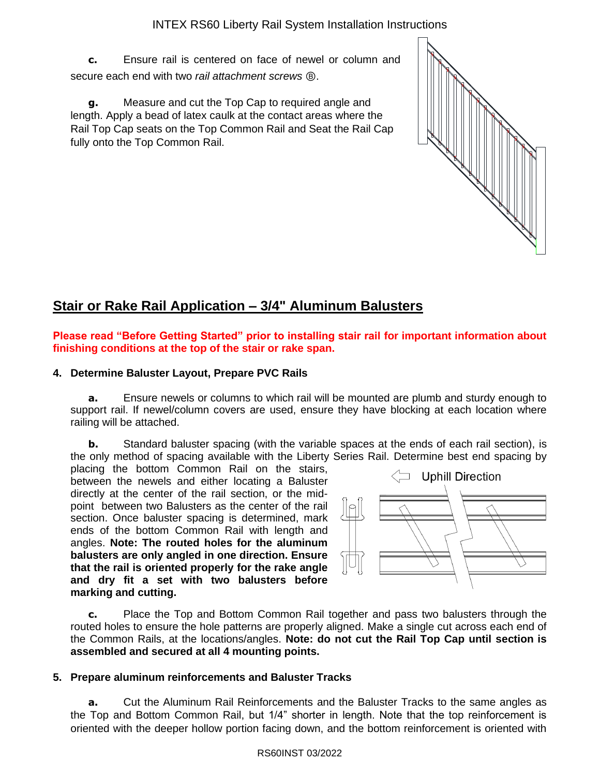**c.** Ensure rail is centered on face of newel or column and secure each end with two *rail attachment screws* Ⓑ.

**g.** Measure and cut the Top Cap to required angle and length. Apply a bead of latex caulk at the contact areas where the Rail Top Cap seats on the Top Common Rail and Seat the Rail Cap fully onto the Top Common Rail.

# **Stair or Rake Rail Application – 3/4" Aluminum Balusters**

**Please read "Before Getting Started" prior to installing stair rail for important information about finishing conditions at the top of the stair or rake span.**

#### **4. Determine Baluster Layout, Prepare PVC Rails**

**a.** Ensure newels or columns to which rail will be mounted are plumb and sturdy enough to support rail. If newel/column covers are used, ensure they have blocking at each location where railing will be attached.

**b.** Standard baluster spacing (with the variable spaces at the ends of each rail section), is the only method of spacing available with the Liberty Series Rail. Determine best end spacing by

placing the bottom Common Rail on the stairs, between the newels and either locating a Baluster directly at the center of the rail section, or the midpoint between two Balusters as the center of the rail section. Once baluster spacing is determined, mark ends of the bottom Common Rail with length and angles. **Note: The routed holes for the aluminum balusters are only angled in one direction. Ensure that the rail is oriented properly for the rake angle and dry fit a set with two balusters before marking and cutting.**



**c.** Place the Top and Bottom Common Rail together and pass two balusters through the routed holes to ensure the hole patterns are properly aligned. Make a single cut across each end of the Common Rails, at the locations/angles. **Note: do not cut the Rail Top Cap until section is assembled and secured at all 4 mounting points.**

#### **5. Prepare aluminum reinforcements and Baluster Tracks**

**a.** Cut the Aluminum Rail Reinforcements and the Baluster Tracks to the same angles as the Top and Bottom Common Rail, but 1/4" shorter in length. Note that the top reinforcement is oriented with the deeper hollow portion facing down, and the bottom reinforcement is oriented with